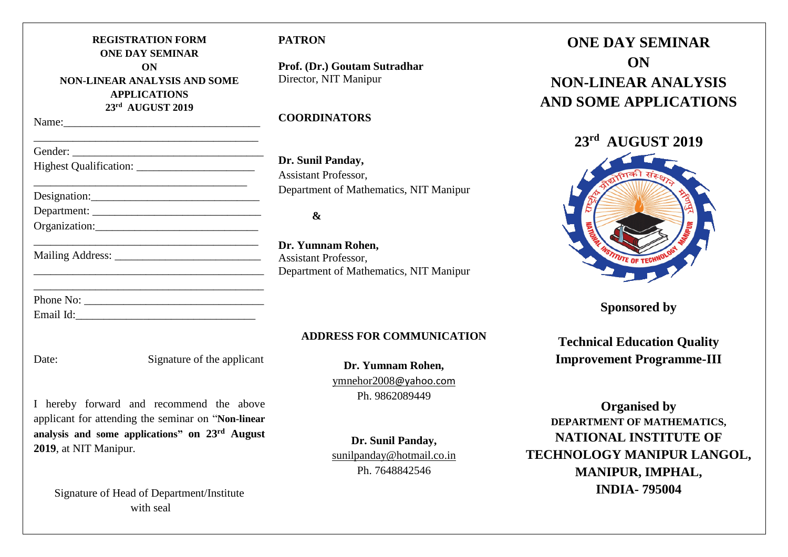|                            | <b>REGISTRATION FORM</b><br><b>ONE DAY SEMINAR</b>                                                                                             | PA <sub>1</sub>    |
|----------------------------|------------------------------------------------------------------------------------------------------------------------------------------------|--------------------|
|                            | ON<br><b>NON-LINEAR ANALYSIS AND SOME</b><br><b>APPLICATIONS</b><br>23rd AUGUST 2019                                                           | Prof<br>Dire       |
|                            |                                                                                                                                                | CO <sub>0</sub>    |
|                            |                                                                                                                                                |                    |
|                            | <u> 1989 - Johann John Stone, mars et al. (1989)</u>                                                                                           | Dr.<br>Assi        |
| Designation:               |                                                                                                                                                | Dep                |
| Department:                |                                                                                                                                                |                    |
|                            | Organization:                                                                                                                                  |                    |
|                            | <u> 1989 - Johann Stein, mars et al. (</u>                                                                                                     | Dr.<br>Assi<br>Dep |
|                            |                                                                                                                                                |                    |
|                            |                                                                                                                                                |                    |
| Date:                      | Signature of the applicant                                                                                                                     |                    |
| L<br>2019, at NIT Manipur. | hereby forward and recommend the above<br>applicant for attending the seminar on "Non-linear<br>analysis and some applications" on 23rd August |                    |

Signature of Head of Department/Institute with seal

# **FRON**

**Prof. (Dr.) Goutam Sutradhar** ector, NIT Manipur

## **COORDINATORS**

**Sunil Panday,** istant Professor. partment of Mathematics, NIT Manipur

## **&**

**Dr. Yumnam Rohen,** istant Professor. partment of Mathematics, NIT Manipur

## **ADDRESS FOR COMMUNICATION**

**Dr. Yumnam Rohen,** ymnehor2008@yahoo.com Ph. 9862089449

**Dr. Sunil Panday,** [sunilpanday@hotmail.co.in](mailto:sunilpanday@hotmail.co.in) Ph. 7648842546

**ONE DAY SEMINAR ON NON-LINEAR ANALYSIS AND SOME APPLICATIONS**

# **23rd AUGUST 2019**



**Sponsored by** 

**Technical Education Quality Improvement Programme-III**

**Organised by DEPARTMENT OF MATHEMATICS, NATIONAL INSTITUTE OF TECHNOLOGY MANIPUR LANGOL, MANIPUR, IMPHAL, INDIA- 795004**